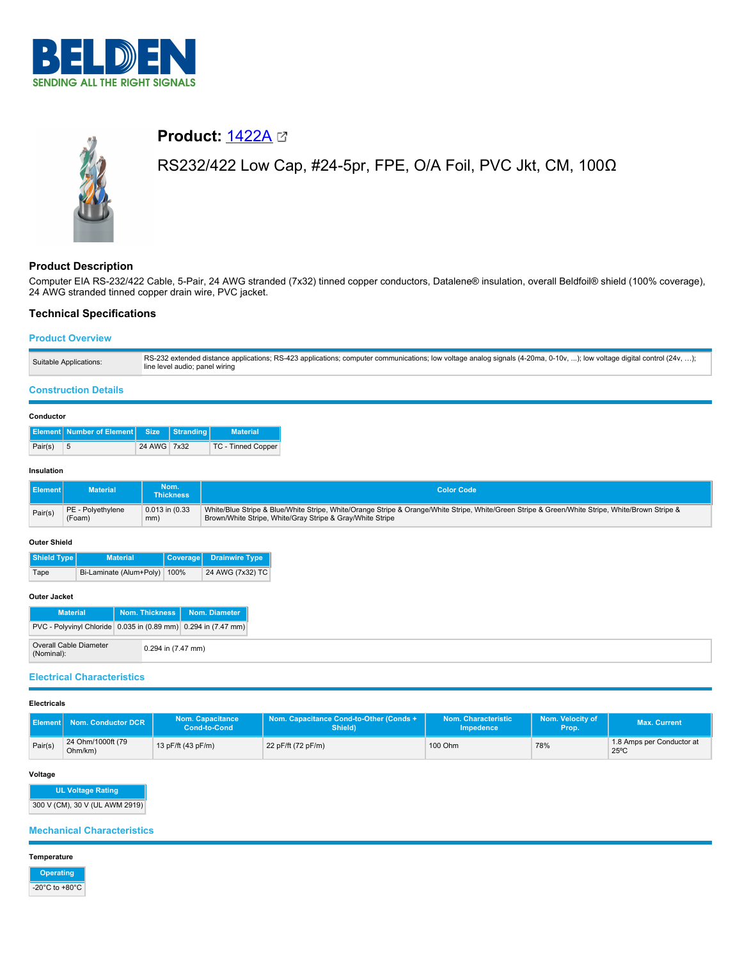



# **Product:**  $1422A$

# RS232/422 Low Cap, #24-5pr, FPE, O/A Foil, PVC Jkt, CM, 100Ω

# **Product Description**

Computer EIA RS-232/422 Cable, 5-Pair, 24 AWG stranded (7x32) tinned copper conductors, Datalene® insulation, overall Beldfoil® shield (100% coverage), 24 AWG stranded tinned copper drain wire, PVC jacket.

## **Technical Specifications**

## **Product Overview**

| Suitable Applications: | RS-232 extended distance applications; RS-423 applications; computer communications; low voltage analog signals (4-20ma, 0-10v, ); low voltage digital control (24v, );<br>line level audio; panel wiring |
|------------------------|-----------------------------------------------------------------------------------------------------------------------------------------------------------------------------------------------------------|
|------------------------|-----------------------------------------------------------------------------------------------------------------------------------------------------------------------------------------------------------|

### **Construction Details**

|         | Element Number of Element Size Stranding |             | <b>Material</b>           |
|---------|------------------------------------------|-------------|---------------------------|
| Pair(s) | - 5                                      | 24 AWG 7x32 | <b>TC - Tinned Copper</b> |

#### **Insulation**

| <b>Element</b> | <b>Material</b>   | Nom.<br><b>Thickness</b> | <b>Color Code</b>                                                                                                                               |
|----------------|-------------------|--------------------------|-------------------------------------------------------------------------------------------------------------------------------------------------|
| Pair(s)        | PE - Polvethylene | $0.013$ in $(0.33)$      | White/Blue Stripe & Blue/White Stripe, White/Orange Stripe & Orange/White Stripe, White/Green Stripe & Green/White Stripe, White/Brown Stripe & |
|                | (Foam)            | mm)                      | Brown/White Stripe, White/Gray Stripe & Gray/White Stripe                                                                                       |

#### **Outer Shield**

| Shield Type<br><b>Material</b> |                              |  | Coverage Drainwire Type |
|--------------------------------|------------------------------|--|-------------------------|
| Tape                           | Bi-Laminate (Alum+Poly) 100% |  | 24 AWG (7x32) TC        |

#### **Outer Jacket**

| <b>Material</b>                                                |                    | Nom. Thickness   Nom. Diameter |
|----------------------------------------------------------------|--------------------|--------------------------------|
| PVC - Polyvinyl Chloride 0.035 in (0.89 mm) 0.294 in (7.47 mm) |                    |                                |
| Overall Cable Diameter<br>(Nominal):                           | 0.294 in (7.47 mm) |                                |

## **Electrical Characteristics**

#### **Electricals**

| l Element I | Nom. Conductor DCR           | <b>Nom. Capacitance</b><br>Cond-to-Cond | Nom. Capacitance Cond-to-Other (Conds +<br>Shield) | Nom. Characteristic<br><b>Impedence</b> | Nom. Velocity of<br>Prop. | Max. Current                                |
|-------------|------------------------------|-----------------------------------------|----------------------------------------------------|-----------------------------------------|---------------------------|---------------------------------------------|
| Pair(s)     | 24 Ohm/1000ft (79<br>Ohm/km) | 13 pF/ft (43 pF/m)                      | 22 pF/ft (72 pF/m)                                 | 100 Ohm                                 | 78%                       | 1.8 Amps per Conductor at<br>$25^{\circ}$ C |

## **Voltage**

**UL Voltage Rating** 300 V (CM), 30 V (UL AWM 2919)

## **Mechanical Characteristics**

**Temperature**

**Operating** -20°C to +80°C